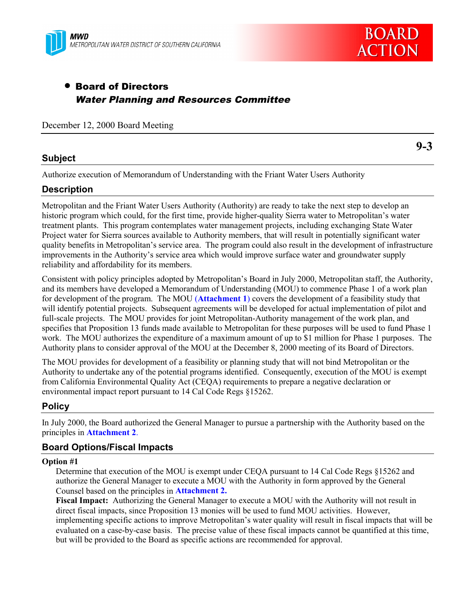



# • Board of Directors Water Planning and Resources Committee

December 12, 2000 Board Meeting

#### **Subject**

**9-3**

Authorize execution of Memorandum of Understanding with the Friant Water Users Authority

#### **Description**

Metropolitan and the Friant Water Users Authority (Authority) are ready to take the next step to develop an historic program which could, for the first time, provide higher-quality Sierra water to Metropolitan's water treatment plants. This program contemplates water management projects, including exchanging State Water Project water for Sierra sources available to Authority members, that will result in potentially significant water quality benefits in Metropolitan's service area. The program could also result in the development of infrastructure improvements in the Authority's service area which would improve surface water and groundwater supply reliability and affordability for its members.

Consistent with policy principles adopted by Metropolitan's Board in July 2000, Metropolitan staff, the Authority, and its members have developed a Memorandum of Understanding (MOU) to commence Phase 1 of a work plan for development of the program. The MOU (**Attachment 1**) covers the development of a feasibility study that will identify potential projects. Subsequent agreements will be developed for actual implementation of pilot and full-scale projects. The MOU provides for joint Metropolitan-Authority management of the work plan, and specifies that Proposition 13 funds made available to Metropolitan for these purposes will be used to fund Phase 1 work. The MOU authorizes the expenditure of a maximum amount of up to \$1 million for Phase 1 purposes. The Authority plans to consider approval of the MOU at the December 8, 2000 meeting of its Board of Directors.

The MOU provides for development of a feasibility or planning study that will not bind Metropolitan or the Authority to undertake any of the potential programs identified. Consequently, execution of the MOU is exempt from California Environmental Quality Act (CEQA) requirements to prepare a negative declaration or environmental impact report pursuant to 14 Cal Code Regs §15262.

### **Policy**

In July 2000, the Board authorized the General Manager to pursue a partnership with the Authority based on the principles in **Attachment 2**.

#### **Board Options/Fiscal Impacts**

#### **Option #1**

Determine that execution of the MOU is exempt under CEQA pursuant to 14 Cal Code Regs §15262 and authorize the General Manager to execute a MOU with the Authority in form approved by the General Counsel based on the principles in **Attachment 2.**

**Fiscal Impact:** Authorizing the General Manager to execute a MOU with the Authority will not result in direct fiscal impacts, since Proposition 13 monies will be used to fund MOU activities. However, implementing specific actions to improve Metropolitan's water quality will result in fiscal impacts that will be evaluated on a case-by-case basis. The precise value of these fiscal impacts cannot be quantified at this time, but will be provided to the Board as specific actions are recommended for approval.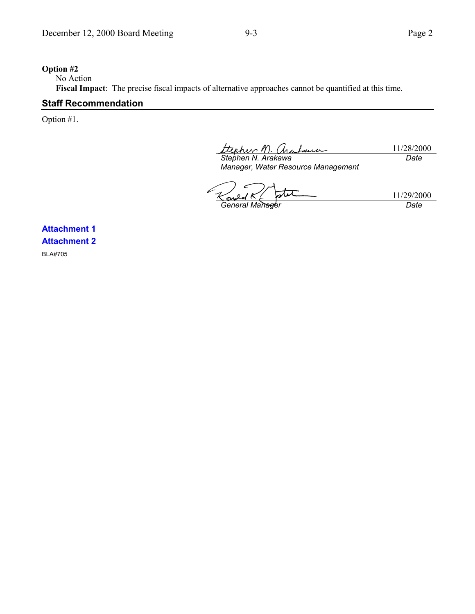#### **Option #2**

No Action

**Fiscal Impact**:The precise fiscal impacts of alternative approaches cannot be quantified at this time.

### **Staff Recommendation**

Option #1.

11/28/2000 *Stephen N. Arakawa Date*

*Manager, Water Resource Management*

11/29/2000 **General Manager** Date

**Attachment 1 Attachment 2** BLA#705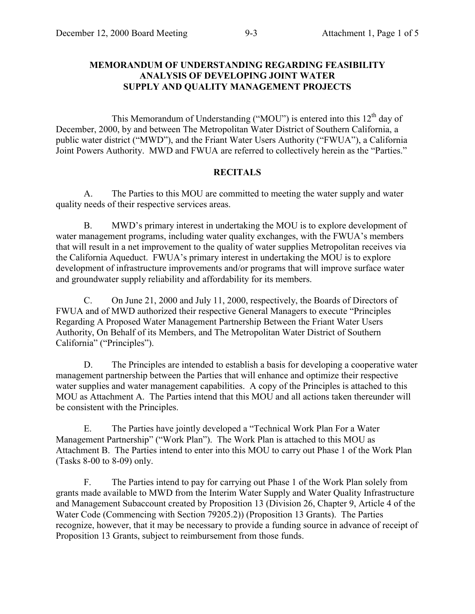#### **MEMORANDUM OF UNDERSTANDING REGARDING FEASIBILITY ANALYSIS OF DEVELOPING JOINT WATER SUPPLY AND QUALITY MANAGEMENT PROJECTS**

This Memorandum of Understanding ("MOU") is entered into this  $12<sup>th</sup>$  day of December, 2000, by and between The Metropolitan Water District of Southern California, a public water district ("MWD"), and the Friant Water Users Authority ("FWUA"), a California Joint Powers Authority. MWD and FWUA are referred to collectively herein as the "Parties."

#### **RECITALS**

A. The Parties to this MOU are committed to meeting the water supply and water quality needs of their respective services areas.

B. MWD's primary interest in undertaking the MOU is to explore development of water management programs, including water quality exchanges, with the FWUA's members that will result in a net improvement to the quality of water supplies Metropolitan receives via the California Aqueduct. FWUA's primary interest in undertaking the MOU is to explore development of infrastructure improvements and/or programs that will improve surface water and groundwater supply reliability and affordability for its members.

C. On June 21, 2000 and July 11, 2000, respectively, the Boards of Directors of FWUA and of MWD authorized their respective General Managers to execute "Principles Regarding A Proposed Water Management Partnership Between the Friant Water Users Authority, On Behalf of its Members, and The Metropolitan Water District of Southern California" ("Principles").

D. The Principles are intended to establish a basis for developing a cooperative water management partnership between the Parties that will enhance and optimize their respective water supplies and water management capabilities. A copy of the Principles is attached to this MOU as Attachment A. The Parties intend that this MOU and all actions taken thereunder will be consistent with the Principles.

E. The Parties have jointly developed a "Technical Work Plan For a Water Management Partnership" ("Work Plan"). The Work Plan is attached to this MOU as Attachment B. The Parties intend to enter into this MOU to carry out Phase 1 of the Work Plan (Tasks 8-00 to 8-09) only.

F. The Parties intend to pay for carrying out Phase 1 of the Work Plan solely from grants made available to MWD from the Interim Water Supply and Water Quality Infrastructure and Management Subaccount created by Proposition 13 (Division 26, Chapter 9, Article 4 of the Water Code (Commencing with Section 79205.2)) (Proposition 13 Grants). The Parties recognize, however, that it may be necessary to provide a funding source in advance of receipt of Proposition 13 Grants, subject to reimbursement from those funds.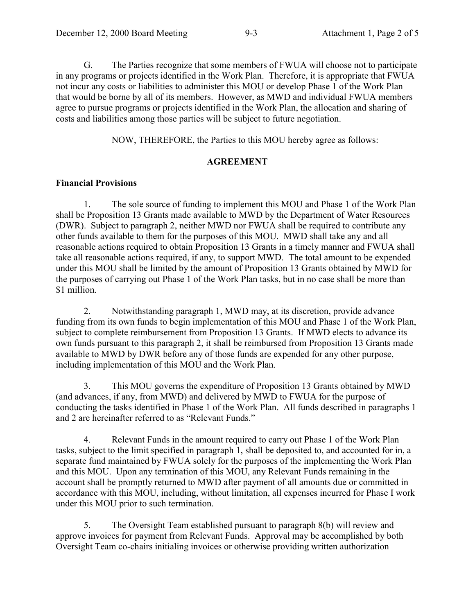G. The Parties recognize that some members of FWUA will choose not to participate in any programs or projects identified in the Work Plan. Therefore, it is appropriate that FWUA not incur any costs or liabilities to administer this MOU or develop Phase 1 of the Work Plan that would be borne by all of its members. However, as MWD and individual FWUA members agree to pursue programs or projects identified in the Work Plan, the allocation and sharing of costs and liabilities among those parties will be subject to future negotiation.

NOW, THEREFORE, the Parties to this MOU hereby agree as follows:

### **AGREEMENT**

### **Financial Provisions**

1. The sole source of funding to implement this MOU and Phase 1 of the Work Plan shall be Proposition 13 Grants made available to MWD by the Department of Water Resources (DWR). Subject to paragraph 2, neither MWD nor FWUA shall be required to contribute any other funds available to them for the purposes of this MOU. MWD shall take any and all reasonable actions required to obtain Proposition 13 Grants in a timely manner and FWUA shall take all reasonable actions required, if any, to support MWD. The total amount to be expended under this MOU shall be limited by the amount of Proposition 13 Grants obtained by MWD for the purposes of carrying out Phase 1 of the Work Plan tasks, but in no case shall be more than \$1 million.

2. Notwithstanding paragraph 1, MWD may, at its discretion, provide advance funding from its own funds to begin implementation of this MOU and Phase 1 of the Work Plan, subject to complete reimbursement from Proposition 13 Grants. If MWD elects to advance its own funds pursuant to this paragraph 2, it shall be reimbursed from Proposition 13 Grants made available to MWD by DWR before any of those funds are expended for any other purpose, including implementation of this MOU and the Work Plan.

3. This MOU governs the expenditure of Proposition 13 Grants obtained by MWD (and advances, if any, from MWD) and delivered by MWD to FWUA for the purpose of conducting the tasks identified in Phase 1 of the Work Plan. All funds described in paragraphs 1 and 2 are hereinafter referred to as "Relevant Funds."

4. Relevant Funds in the amount required to carry out Phase 1 of the Work Plan tasks, subject to the limit specified in paragraph 1, shall be deposited to, and accounted for in, a separate fund maintained by FWUA solely for the purposes of the implementing the Work Plan and this MOU. Upon any termination of this MOU, any Relevant Funds remaining in the account shall be promptly returned to MWD after payment of all amounts due or committed in accordance with this MOU, including, without limitation, all expenses incurred for Phase I work under this MOU prior to such termination.

5. The Oversight Team established pursuant to paragraph 8(b) will review and approve invoices for payment from Relevant Funds. Approval may be accomplished by both Oversight Team co-chairs initialing invoices or otherwise providing written authorization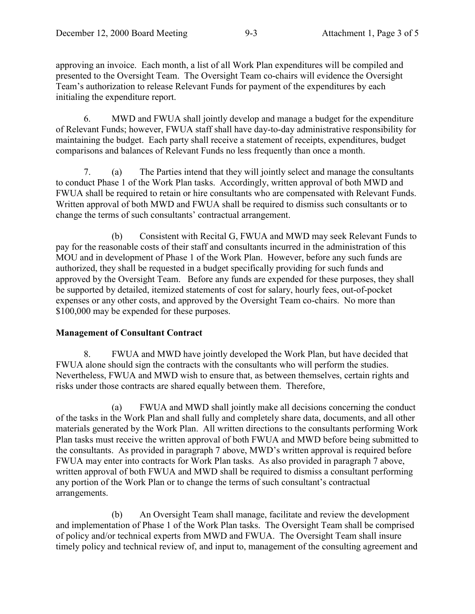approving an invoice. Each month, a list of all Work Plan expenditures will be compiled and presented to the Oversight Team. The Oversight Team co-chairs will evidence the Oversight Team's authorization to release Relevant Funds for payment of the expenditures by each initialing the expenditure report.

6. MWD and FWUA shall jointly develop and manage a budget for the expenditure of Relevant Funds; however, FWUA staff shall have day-to-day administrative responsibility for maintaining the budget. Each party shall receive a statement of receipts, expenditures, budget comparisons and balances of Relevant Funds no less frequently than once a month.

7. (a) The Parties intend that they will jointly select and manage the consultants to conduct Phase 1 of the Work Plan tasks. Accordingly, written approval of both MWD and FWUA shall be required to retain or hire consultants who are compensated with Relevant Funds. Written approval of both MWD and FWUA shall be required to dismiss such consultants or to change the terms of such consultants' contractual arrangement.

(b) Consistent with Recital G, FWUA and MWD may seek Relevant Funds to pay for the reasonable costs of their staff and consultants incurred in the administration of this MOU and in development of Phase 1 of the Work Plan. However, before any such funds are authorized, they shall be requested in a budget specifically providing for such funds and approved by the Oversight Team. Before any funds are expended for these purposes, they shall be supported by detailed, itemized statements of cost for salary, hourly fees, out-of-pocket expenses or any other costs, and approved by the Oversight Team co-chairs. No more than \$100,000 may be expended for these purposes.

### **Management of Consultant Contract**

8. FWUA and MWD have jointly developed the Work Plan, but have decided that FWUA alone should sign the contracts with the consultants who will perform the studies. Nevertheless, FWUA and MWD wish to ensure that, as between themselves, certain rights and risks under those contracts are shared equally between them. Therefore,

(a) FWUA and MWD shall jointly make all decisions concerning the conduct of the tasks in the Work Plan and shall fully and completely share data, documents, and all other materials generated by the Work Plan. All written directions to the consultants performing Work Plan tasks must receive the written approval of both FWUA and MWD before being submitted to the consultants. As provided in paragraph 7 above, MWD's written approval is required before FWUA may enter into contracts for Work Plan tasks. As also provided in paragraph 7 above, written approval of both FWUA and MWD shall be required to dismiss a consultant performing any portion of the Work Plan or to change the terms of such consultant's contractual arrangements.

(b) An Oversight Team shall manage, facilitate and review the development and implementation of Phase 1 of the Work Plan tasks. The Oversight Team shall be comprised of policy and/or technical experts from MWD and FWUA. The Oversight Team shall insure timely policy and technical review of, and input to, management of the consulting agreement and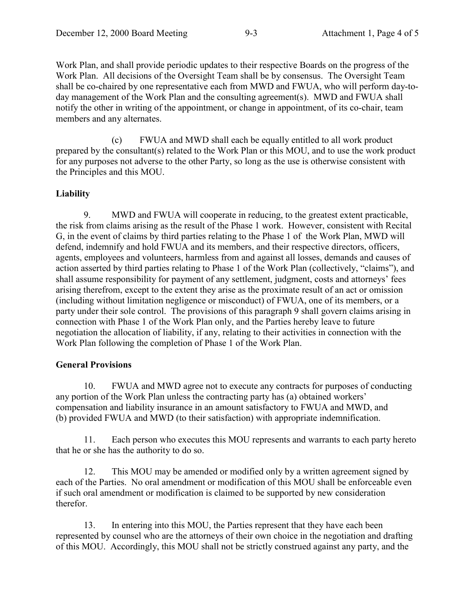Work Plan, and shall provide periodic updates to their respective Boards on the progress of the Work Plan. All decisions of the Oversight Team shall be by consensus. The Oversight Team shall be co-chaired by one representative each from MWD and FWUA, who will perform day-today management of the Work Plan and the consulting agreement(s). MWD and FWUA shall notify the other in writing of the appointment, or change in appointment, of its co-chair, team members and any alternates.

(c) FWUA and MWD shall each be equally entitled to all work product prepared by the consultant(s) related to the Work Plan or this MOU, and to use the work product for any purposes not adverse to the other Party, so long as the use is otherwise consistent with the Principles and this MOU.

### **Liability**

9. MWD and FWUA will cooperate in reducing, to the greatest extent practicable, the risk from claims arising as the result of the Phase 1 work. However, consistent with Recital G, in the event of claims by third parties relating to the Phase 1 of the Work Plan, MWD will defend, indemnify and hold FWUA and its members, and their respective directors, officers, agents, employees and volunteers, harmless from and against all losses, demands and causes of action asserted by third parties relating to Phase 1 of the Work Plan (collectively, "claims"), and shall assume responsibility for payment of any settlement, judgment, costs and attorneys' fees arising therefrom, except to the extent they arise as the proximate result of an act or omission (including without limitation negligence or misconduct) of FWUA, one of its members, or a party under their sole control. The provisions of this paragraph 9 shall govern claims arising in connection with Phase 1 of the Work Plan only, and the Parties hereby leave to future negotiation the allocation of liability, if any, relating to their activities in connection with the Work Plan following the completion of Phase 1 of the Work Plan.

### **General Provisions**

10. FWUA and MWD agree not to execute any contracts for purposes of conducting any portion of the Work Plan unless the contracting party has (a) obtained workers' compensation and liability insurance in an amount satisfactory to FWUA and MWD, and (b) provided FWUA and MWD (to their satisfaction) with appropriate indemnification.

11. Each person who executes this MOU represents and warrants to each party hereto that he or she has the authority to do so.

12. This MOU may be amended or modified only by a written agreement signed by each of the Parties. No oral amendment or modification of this MOU shall be enforceable even if such oral amendment or modification is claimed to be supported by new consideration therefor.

13. In entering into this MOU, the Parties represent that they have each been represented by counsel who are the attorneys of their own choice in the negotiation and drafting of this MOU. Accordingly, this MOU shall not be strictly construed against any party, and the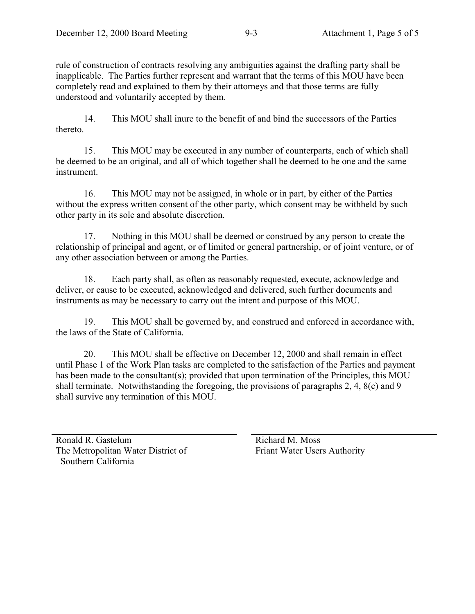rule of construction of contracts resolving any ambiguities against the drafting party shall be inapplicable. The Parties further represent and warrant that the terms of this MOU have been completely read and explained to them by their attorneys and that those terms are fully understood and voluntarily accepted by them.

14. This MOU shall inure to the benefit of and bind the successors of the Parties thereto.

15. This MOU may be executed in any number of counterparts, each of which shall be deemed to be an original, and all of which together shall be deemed to be one and the same instrument.

16. This MOU may not be assigned, in whole or in part, by either of the Parties without the express written consent of the other party, which consent may be withheld by such other party in its sole and absolute discretion.

17. Nothing in this MOU shall be deemed or construed by any person to create the relationship of principal and agent, or of limited or general partnership, or of joint venture, or of any other association between or among the Parties.

18. Each party shall, as often as reasonably requested, execute, acknowledge and deliver, or cause to be executed, acknowledged and delivered, such further documents and instruments as may be necessary to carry out the intent and purpose of this MOU.

19. This MOU shall be governed by, and construed and enforced in accordance with, the laws of the State of California.

20. This MOU shall be effective on December 12, 2000 and shall remain in effect until Phase 1 of the Work Plan tasks are completed to the satisfaction of the Parties and payment has been made to the consultant(s); provided that upon termination of the Principles, this MOU shall terminate. Notwithstanding the foregoing, the provisions of paragraphs 2, 4, 8(c) and 9 shall survive any termination of this MOU.

Ronald R. Gastelum The Metropolitan Water District of Southern California

Richard M. Moss Friant Water Users Authority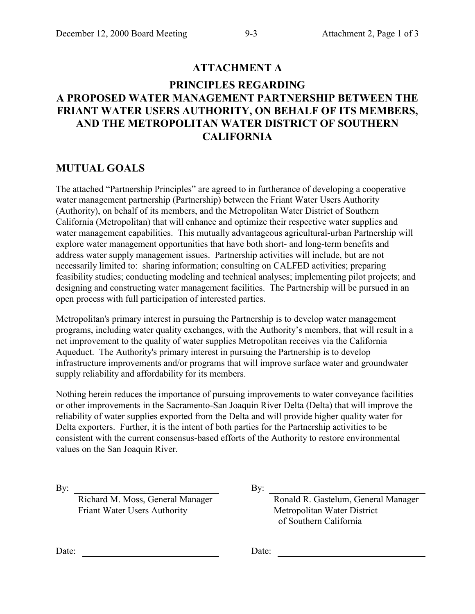## **ATTACHMENT A**

# **PRINCIPLES REGARDING A PROPOSED WATER MANAGEMENT PARTNERSHIP BETWEEN THE FRIANT WATER USERS AUTHORITY, ON BEHALF OF ITS MEMBERS, AND THE METROPOLITAN WATER DISTRICT OF SOUTHERN CALIFORNIA**

## **MUTUAL GOALS**

The attached "Partnership Principles" are agreed to in furtherance of developing a cooperative water management partnership (Partnership) between the Friant Water Users Authority (Authority), on behalf of its members, and the Metropolitan Water District of Southern California (Metropolitan) that will enhance and optimize their respective water supplies and water management capabilities. This mutually advantageous agricultural-urban Partnership will explore water management opportunities that have both short- and long-term benefits and address water supply management issues. Partnership activities will include, but are not necessarily limited to: sharing information; consulting on CALFED activities; preparing feasibility studies; conducting modeling and technical analyses; implementing pilot projects; and designing and constructing water management facilities. The Partnership will be pursued in an open process with full participation of interested parties.

Metropolitan's primary interest in pursuing the Partnership is to develop water management programs, including water quality exchanges, with the Authority's members, that will result in a net improvement to the quality of water supplies Metropolitan receives via the California Aqueduct. The Authority's primary interest in pursuing the Partnership is to develop infrastructure improvements and/or programs that will improve surface water and groundwater supply reliability and affordability for its members.

Nothing herein reduces the importance of pursuing improvements to water conveyance facilities or other improvements in the Sacramento-San Joaquin River Delta (Delta) that will improve the reliability of water supplies exported from the Delta and will provide higher quality water for Delta exporters. Further, it is the intent of both parties for the Partnership activities to be consistent with the current consensus-based efforts of the Authority to restore environmental values on the San Joaquin River.

Richard M. Moss, General Manager Friant Water Users Authority

By: By:

Ronald R. Gastelum, General Manager Metropolitan Water District of Southern California

Date: <u>Date:</u> Date: <u>Date:</u> Date: <u>Date:</u> Date: 2014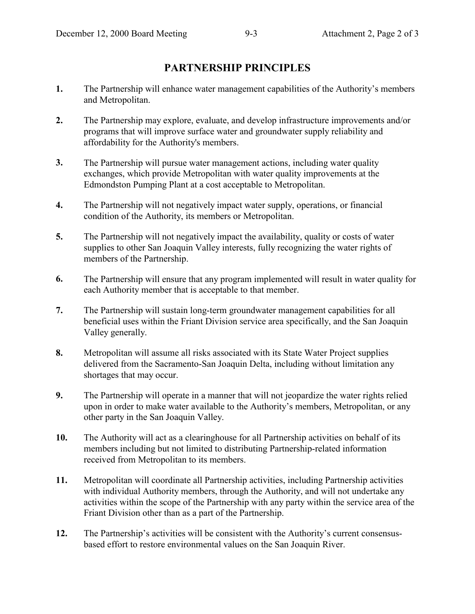# **PARTNERSHIP PRINCIPLES**

- **1.** The Partnership will enhance water management capabilities of the Authority's members and Metropolitan.
- **2.** The Partnership may explore, evaluate, and develop infrastructure improvements and/or programs that will improve surface water and groundwater supply reliability and affordability for the Authority's members.
- **3.** The Partnership will pursue water management actions, including water quality exchanges, which provide Metropolitan with water quality improvements at the Edmondston Pumping Plant at a cost acceptable to Metropolitan.
- **4.** The Partnership will not negatively impact water supply, operations, or financial condition of the Authority, its members or Metropolitan.
- **5.** The Partnership will not negatively impact the availability, quality or costs of water supplies to other San Joaquin Valley interests, fully recognizing the water rights of members of the Partnership.
- **6.** The Partnership will ensure that any program implemented will result in water quality for each Authority member that is acceptable to that member.
- **7.** The Partnership will sustain long-term groundwater management capabilities for all beneficial uses within the Friant Division service area specifically, and the San Joaquin Valley generally.
- **8.** Metropolitan will assume all risks associated with its State Water Project supplies delivered from the Sacramento-San Joaquin Delta, including without limitation any shortages that may occur.
- **9.** The Partnership will operate in a manner that will not jeopardize the water rights relied upon in order to make water available to the Authority's members, Metropolitan, or any other party in the San Joaquin Valley.
- **10.** The Authority will act as a clearinghouse for all Partnership activities on behalf of its members including but not limited to distributing Partnership-related information received from Metropolitan to its members.
- **11.** Metropolitan will coordinate all Partnership activities, including Partnership activities with individual Authority members, through the Authority, and will not undertake any activities within the scope of the Partnership with any party within the service area of the Friant Division other than as a part of the Partnership.
- **12.** The Partnership's activities will be consistent with the Authority's current consensusbased effort to restore environmental values on the San Joaquin River.